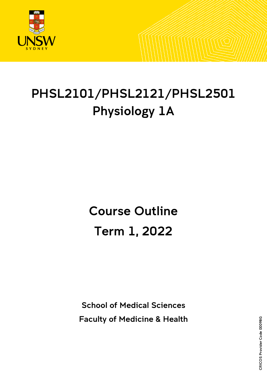

# PHSL2101/PHSL2121/PHSL2501 Physiology 1A

# Course Outline Term 1, 2022

School of Medical Sciences Faculty of Medicine & Health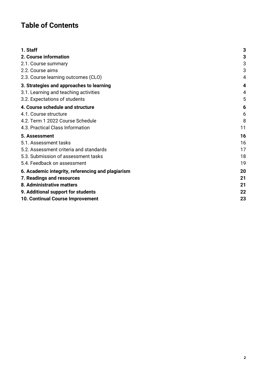# **Table of Contents**

| 1. Staff                                          | 3  |
|---------------------------------------------------|----|
| 2. Course information                             | 3  |
| 2.1. Course summary                               | 3  |
| 2.2. Course aims                                  | 3  |
| 2.3. Course learning outcomes (CLO)               | 4  |
| 3. Strategies and approaches to learning          | 4  |
| 3.1. Learning and teaching activities             | 4  |
| 3.2. Expectations of students                     | 5  |
| 4. Course schedule and structure                  | 6  |
| 4.1. Course structure                             | 6  |
| 4.2. Term 1 2022 Course Schedule                  | 8  |
| 4.3. Practical Class Information                  | 11 |
| 5. Assessment                                     | 16 |
| 5.1. Assessment tasks                             | 16 |
| 5.2. Assessment criteria and standards            | 17 |
| 5.3. Submission of assessment tasks               | 18 |
| 5.4. Feedback on assessment                       | 19 |
| 6. Academic integrity, referencing and plagiarism | 20 |
| 7. Readings and resources                         | 21 |
| 8. Administrative matters                         | 21 |
| 9. Additional support for students                | 22 |
| 10. Continual Course Improvement                  | 23 |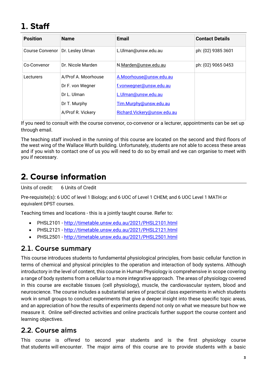# <span id="page-2-0"></span>1. Staff

| <b>Position</b>        | <b>Name</b>         | <b>Email</b>                | <b>Contact Details</b> |
|------------------------|---------------------|-----------------------------|------------------------|
| <b>Course Convenor</b> | Dr. Lesley Ulman    | L.Ulman@unsw.edu.au         | ph: (02) 9385 3601     |
| Co-Convenor            | Dr. Nicole Marden   | N.Marden@unsw.edu.au        | ph: (02) 9065 0453     |
| Lecturers              | A/Prof A. Moorhouse | A.Moorhouse@unsw.edu.au     |                        |
|                        | Dr F. von Wegner    | f.vonwegner@unsw.edu.au     |                        |
|                        | Dr L. Ulman         | L.Ulman@unsw.edu.au         |                        |
|                        | Dr T. Murphy        | Tim.Murphy@unsw.edu.au      |                        |
|                        | A/Prof R. Vickery   | Richard.Vickery@unsw.edu.au |                        |

If you need to consult with the course convenor, co-convenor or a lecturer, appointments can be set up through email.

The teaching staff involved in the running of this course are located on the second and third floors of the west wing of the Wallace Wurth building. Unfortunately, students are not able to access these areas and if you wish to contact one of us you will need to do so by email and we can organise to meet with you if necessary.

## <span id="page-2-1"></span>2. Course information

Units of credit: 6 Units of Credit

Pre-requisite(s): 6 UOC of level 1 Biology; and 6 UOC of Level 1 CHEM; and 6 UOC Level 1 MATH or equivalent DPST courses.

Teaching times and locations - this is a jointly taught course. Refer to:

- PHSL2101 <http://timetable.unsw.edu.au/2021/PHSL2101.html>
- PHSL2121 <http://timetable.unsw.edu.au/2021/PHSL2121.html>
- PHSL2501 <http://timetable.unsw.edu.au/2021/PHSL2501.html>

### <span id="page-2-2"></span>2.1. Course summary

This course introduces students to fundamental physiological principles, from basic cellular function in terms of chemical and physical principles to the operation and interaction of body systems. Although introductory in the level of content, this course in Human Physiology is comprehensive in scope covering a range of body systems from a cellular to a more integrative approach. The areas of physiology covered in this course are excitable tissues (cell physiology), muscle, the cardiovascular system, blood and neuroscience. The course includes a substantial series of practical class experiments in which students work in small groups to conduct experiments that give a deeper insight into these specific topic areas, and an appreciation of how the results of experiments depend not only on what we measure but how we measure it. Online self-directed activities and online practicals further support the course content and learning objectives.

### <span id="page-2-3"></span>2.2. Course aims

This course is offered to second year students and is the first physiology course that students will encounter. The major aims of this course are to provide students with a basic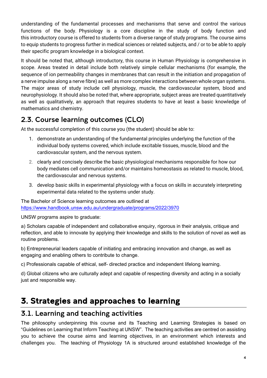understanding of the fundamental processes and mechanisms that serve and control the various functions of the body. Physiology is a core discipline in the study of body function and this introductory course is offered to students from a diverse range of study programs. The course aims to equip students to progress further in medical sciences or related subjects, and / or to be able to apply their specific program knowledge in a biological context.

It should be noted that, although introductory, this course in Human Physiology is comprehensive in scope. Areas treated in detail include both relatively simple cellular mechanisms (for example, the sequence of ion permeability changes in membranes that can result in the initiation and propagation of a nerve impulse along a nerve fibre) as well as more complex interactions between whole organ systems. The major areas of study include cell physiology, muscle, the cardiovascular system, blood and neurophysiology. It should also be noted that, where appropriate, subject areas are treated quantitatively as well as qualitatively, an approach that requires students to have at least a basic knowledge of mathematics and chemistry.

## <span id="page-3-0"></span>2.3. Course learning outcomes (CLO)

At the successful completion of this course you (the student) should be able to:

- 1. demonstrate an understanding of the fundamental principles underlying the function of the individual body systems covered, which include excitable tissues, muscle, blood and the cardiovascular system, and the nervous system.
- 2. clearly and concisely describe the basic physiological mechanisms responsible for how our body mediates cell communication and/or maintains homeostasis as related to muscle, blood, the cardiovascular and nervous systems.
- 3. develop basic skills in experimental physiology with a focus on skills in accurately interpreting experimental data related to the systems under study.

The Bachelor of Science learning outcomes are outlined at <https://www.handbook.unsw.edu.au/undergraduate/programs/2022/3970>

UNSW programs aspire to graduate:

a) Scholars capable of independent and collaborative enquiry, rigorous in their analysis, critique and reflection, and able to innovate by applying their knowledge and skills to the solution of novel as well as routine problems.

b) Entrepreneurial leaders capable of initiating and embracing innovation and change, as well as engaging and enabling others to contribute to change.

c) Professionals capable of ethical, self- directed practice and independent lifelong learning.

d) Global citizens who are culturally adept and capable of respecting diversity and acting in a socially just and responsible way.

# <span id="page-3-1"></span>3. Strategies and approaches to learning

## <span id="page-3-2"></span>3.1. Learning and teaching activities

The philosophy underpinning this course and its Teaching and Learning Strategies is based on "Guidelines on Learning that Inform Teaching at UNSW". The teaching activities are centred on assisting you to achieve the course aims and learning objectives, in an environment which interests and challenges you. The teaching of Physiology 1A is structured around established knowledge of the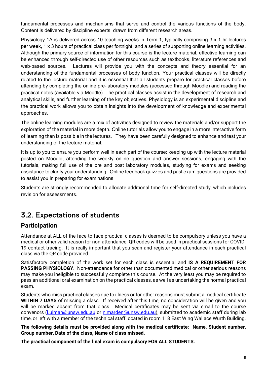fundamental processes and mechanisms that serve and control the various functions of the body. Content is delivered by discipline experts, drawn from different research areas.

Physiology 1A is delivered across 10 teaching weeks in Term 1, typically comprising 3 x 1 hr lectures per week, 1 x 3 hours of practical class per fortnight, and a series of supporting online learning activities. Although the primary source of information for this course is the lecture material, effective learning can be enhanced through self-directed use of other resources such as textbooks, literature references and web-based sources. Lectures will provide you with the concepts and theory essential for an understanding of the fundamental processes of body function. Your practical classes will be directly related to the lecture material and it is essential that all students prepare for practical classes before attending by completing the online pre-laboratory modules (accessed through Moodle) and reading the practical notes (available via Moodle). The practical classes assist in the development of research and analytical skills, and further learning of the key objectives. Physiology is an experimental discipline and the practical work allows you to obtain insights into the development of knowledge and experimental approaches.

The online learning modules are a mix of activities designed to review the materials and/or support the exploration of the material in more depth. *O*nline tutorials allow you to engage in a more interactive form of learning than is possible in the lectures. They have been carefully designed to enhance and test your understanding of the lecture material.

It is up to you to ensure you perform well in each part of the course: keeping up with the lecture material posted on Moodle, attending the weekly online question and answer sessions, engaging with the tutorials, making full use of the pre and post laboratory modules, studying for exams and seeking assistance to clarify your understanding. Online feedback quizzes and past exam questions are provided to assist you in preparing for examinations.

Students are strongly recommended to allocate additional time for self-directed study, which includes revision for assessments.

## <span id="page-4-0"></span>3.2. Expectations of students

#### **Participation**

Attendance at ALL of the face-to-face practical classes is deemed to be compulsory unless you have a medical or other valid reason for non-attendance. QR codes will be used in practical sessions for COVID-19 contact tracing. It is really important that you scan and register your attendance in each practical class via the QR code provided.

Satisfactory completion of the work set for each class is essential and **IS A REQUIREMENT FOR PASSING PHYSIOLOGY**. Non-attendance for other than documented medical or other serious reasons may make you ineligible to successfully complete this course. At the very least you may be required to pass an additional oral examination on the practical classes, as well as undertaking the normal practical exam.

Students who miss practical classes due to illness or for other reasons must submit a medical certificate **WITHIN 7 DAYS** of missing a class. If received after this time, no consideration will be given and you will be marked absent from that class. Medical certificates may be sent via email to the course convenors [\(l.ulman@unsw.edu.au](mailto:l.ulman@unsw.edu.au) or [n.marden@unsw.edu.au\)](mailto:n.marden@unsw.edu.au), submitted to academic staff during lab time, or left with a member of the technical staff located in room 118 East Wing Wallace Wurth Building.

**The following details must be provided along with the medical certificate: Name, Student number, Group number, Date of the class, Name of class missed.**

**The practical component of the final exam is compulsory FOR ALL STUDENTS.**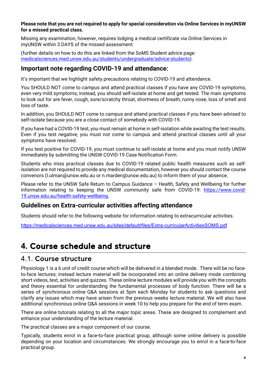#### **Please note that you are not required to apply for special consideration via Online Services in myUNSW for a missed practical class.**

Missing any examination, however, requires lodging a medical certificate via Online Services in myUNSW within 3 DAYS of the missed assessment.

(further details on how to do this are linked from the SoMS Student advice page: [medicalsciences.med.unsw.edu.au/students/undergraduate/advice-students\)](http://medicalsciences.med.unsw.edu.au/students/undergraduate/advice-students).

#### **Important note regarding COVID-19 and attendance:**

It's important that we highlight safety precautions relating to COVID-19 and attendance.

You SHOULD NOT come to campus and attend practical classes if you have any COVID-19 symptoms, even very mild symptoms; instead, you should self-isolate at home and get tested. The main symptoms to look out for are fever, cough, sore/scratchy throat, shortness of breath, runny nose, loss of smell and loss of taste.

In addition, you SHOULD NOT come to campus and attend practical classes if you have been advised to self-isolate because you are a close contact of somebody with COVID-19.

If you have had a COVID-19 test, you must remain at home in self-isolation while awaiting the test results. Even if you test negative, you must not come to campus and attend practical classes until all your symptoms have resolved.

If you test positive for COVID-19, you must continue to self-isolate at home and you must notify UNSW immediately by submitting the UNSW COVID-19 Case Notification Form.

Students who miss practical classes due to COVID-19 related public health measures such as selfisolation are not required to provide any medical documentation, however you should contact the course convenors [\(l.ulman@unsw.edu.au](mailto:l.ulman@unsw.edu.au) or n.marden@unsw.edu.au) to inform them of your absence.

Please refer to the UNSW Safe Return to Campus Guidance – Health, Safety and Wellbeing for further information relating to keeping the UNSW community safe from COVID-19: [https://www.covid-](https://www.covid-19.unsw.edu.au/health-safety-wellbeing)[19.unsw.edu.au/health-safety-wellbeing.](https://www.covid-19.unsw.edu.au/health-safety-wellbeing)

#### **Guidelines on Extra-curricular activities affecting attendance**

Students should refer to the following website for information relating to extracurricular activities.

<https://medicalsciences.med.unsw.edu.au/sites/default/files/Extra-curricularActivitiesSOMS.pdf>

## <span id="page-5-0"></span>**4.** Course schedule and structure

#### <span id="page-5-1"></span>4.1. Course structure

Physiology 1 is a 6 unit of credit course which will be delivered in a blended mode. There will be no faceto-face lectures; instead lecture material will be incorporated into an online delivery mode combining short videos, text, activities and quizzes. These online lecture modules will provide you with the concepts and theory essential for understanding the fundamental processes of body function. There will be a series of synchronous online Q&A sessions at 5pm each Monday for students to ask questions and clarify any issues which may have arisen from the previous weeks lecture material. We will also have additional synchronous online Q&A sessions in week 10 to help you prepare for the end of term exam.

There are online tutorials relating to all the major topic areas. These are designed to complement and enhance your understanding of the lecture material.

The practical classes are a major component of our course.

Typically, students enrol in a face-to-face practical group, although some online delivery is possible depending on your location and circumstances. We strongly encourage you to enrol in a face-to-face practical group.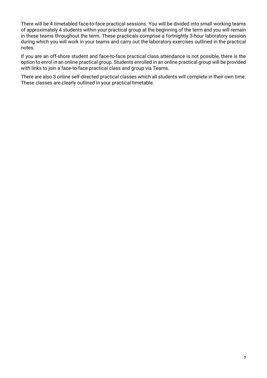There will be 4 timetabled face-to-face practical sessions. You will be divided into small working teams of approximately 4 students within your practical group at the beginning of the term and you will remain in these teams throughout the term. These practicals comprise a fortnightly 3-hour laboratory session during which you will work in your teams and carry out the laboratory exercises outlined in the practical notes.

If you are an off-shore student and face-to-face practical class attendance is not possible, there is the option to enrol in an online practical group. Students enrolled in an online practical group will be provided with links to join a face-to-face practical class and group via Teams.

There are also 3 online self-directed practical classes which all students will complete in their own time. These classes are clearly outlined in your practical timetable.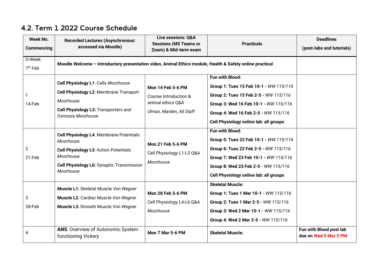<span id="page-7-0"></span>

| Week No.<br><b>Commencing</b> | <b>Recorded Lectures (Asynchronous:</b><br>accessed via Moodle)                                                                                                             | Live sessions: Q&A<br><b>Sessions (MS Teams or</b><br>Zoom) & Mid-term exam                        | <b>Practicals</b>                                                                                                                                                                                                                    | <b>Deadlines</b><br>(post-labs and tutorials)    |
|-------------------------------|-----------------------------------------------------------------------------------------------------------------------------------------------------------------------------|----------------------------------------------------------------------------------------------------|--------------------------------------------------------------------------------------------------------------------------------------------------------------------------------------------------------------------------------------|--------------------------------------------------|
| 0-Week<br>$7th$ Feb           | Moodle Welcome - Introductory presentation video, Animal Ethics module, Health & Safety online practical                                                                    |                                                                                                    |                                                                                                                                                                                                                                      |                                                  |
| 14-Feb                        | Cell Physiology L1: Cells Moorhouse<br>Cell Physiology L2: Membrane Transport<br>Moorhouse<br>Cell Physiology L3: Transporters and<br>Osmosis Moorhouse                     | <b>Mon 14 Feb 5-6 PM</b><br>Course Introduction &<br>animal ethics Q&A<br>Ulman, Marden, All Staff | Fun with Blood:<br>Group 1: Tues 15 Feb 10-1 - WW 115/116<br>Group 2: Tues 15 Feb 2-5 - WW 115/116<br>Group 3: Wed 16 Feb 10-1 - WW 115/116<br>Group 4: Wed 16 Feb 2-5 - WW 115/116<br>Cell Physiology online lab: all groups        |                                                  |
| $\overline{2}$<br>21-Feb      | Cell Physiology L4: Membrane Potentials<br>Moorhouse<br>Cell Physiology L5: Action Potentials<br>Moorhouse<br><b>Cell Physiology L6: Synaptic Transmission</b><br>Moorhouse | <b>Mon 21 Feb 5-6 PM</b><br>Cell Physiology L1-L3 Q&A<br>Moorhouse                                 | <b>Fun with Blood:</b><br>Group 5: Tues 22 Feb 10-1 - WW 115/116<br>Group 6: Tues 22 Feb 2-5 - WW 115/116<br>Group 7: Wed 23 Feb 10-1 - WW 115/116<br>Group 8: Wed 23 Feb 2-5 - WW 115/116<br>Cell Physiology online lab: all groups |                                                  |
| 3<br>28-Feb                   | Muscle L1: Skeletal Muscle Von Wegner<br>Muscle L2: Cardiac Muscle Von Wegner<br>Muscle L3: Smooth Muscle Von Wegner                                                        | <b>Mon 28 Feb 5-6 PM</b><br>Cell Physiology L4-L6 Q&A<br>Moorhouse                                 | <b>Skeletal Muscle:</b><br>Group 1: Tues 1 Mar 10-1 - WW 115/116<br>Group 2: Tues 1 Mar 2-5 - WW 115/116<br>Group 3: Wed 2 Mar 10-1 - WW 115/116<br>Group 4: Wed 2 Mar 2-5 - WW 115/116                                              |                                                  |
| 4                             | <b>ANS: Overview of Autonomic System</b><br>functioning Vickery                                                                                                             | Mon 7 Mar 5-6 PM                                                                                   | <b>Skeletal Muscle:</b>                                                                                                                                                                                                              | Fun with Blood post lab<br>due on Wed 9 Mar 5 PM |

## 4.2. Term 1 2022 Course Schedule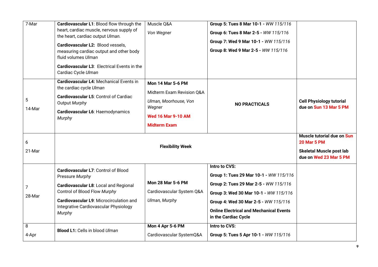| 7-Mar       | Cardiovascular L1: Blood flow through the<br>heart, cardiac muscle, nervous supply of<br>the heart, cardiac output Ulman.<br>Cardiovascular L2: Blood vessels,<br>measuring cardiac output and other body<br>fluid volumes Ulman<br>Cardiovascular L3: Electrical Events in the<br>Cardiac Cycle Ulman | Muscle Q&A<br>Von Wegner                                                                                                                     | Group 5: Tues 8 Mar 10-1 - WW 115/116<br>Group 6: Tues 8 Mar 2-5 - WW 115/116<br>Group 7: Wed 9 Mar 10-1 - WW 115/116<br>Group 8: Wed 9 Mar 2-5 - WW 115/116                                                                                                |                                                                                                               |
|-------------|--------------------------------------------------------------------------------------------------------------------------------------------------------------------------------------------------------------------------------------------------------------------------------------------------------|----------------------------------------------------------------------------------------------------------------------------------------------|-------------------------------------------------------------------------------------------------------------------------------------------------------------------------------------------------------------------------------------------------------------|---------------------------------------------------------------------------------------------------------------|
| 5<br>14-Mar | <b>Cardiovascular L4: Mechanical Events in</b><br>the cardiac cycle Ulman<br>Cardiovascular L5: Control of Cardiac<br>Output Murphy<br>Cardiovascular L6: Haemodynamics<br>Murphy                                                                                                                      | <b>Mon 14 Mar 5-6 PM</b><br>Midterm Exam Revision Q&A<br>Ulman, Moorhouse, Von<br>Wegner<br><b>Wed 16 Mar 9-10 AM</b><br><b>Midterm Exam</b> | <b>NO PRACTICALS</b>                                                                                                                                                                                                                                        | <b>Cell Physiology tutorial</b><br>due on Sun 13 Mar 5 PM                                                     |
| 6<br>21-Mar |                                                                                                                                                                                                                                                                                                        | <b>Flexibility Week</b>                                                                                                                      |                                                                                                                                                                                                                                                             | Muscle tutorial due on Sun<br><b>20 Mar 5 PM</b><br><b>Skeletal Muscle post lab</b><br>due on Wed 23 Mar 5 PM |
| 7<br>28-Mar | Cardiovascular L7: Control of Blood<br>Pressure Murphy<br>Cardiovascular L8: Local and Regional<br>Control of Blood Flow Murphy<br>Cardiovascular L9: Microcirculation and<br>Integrative Cardiovascular Physiology<br>Murphy                                                                          | <b>Mon 28 Mar 5-6 PM</b><br>Cardiovascular System Q&A<br>Ulman, Murphy                                                                       | Intro to CVS:<br>Group 1: Tues 29 Mar 10-1 - WW 115/116<br>Group 2: Tues 29 Mar 2-5 - WW 115/116<br>Group 3: Wed 30 Mar 10-1 - WW 115/116<br>Group 4: Wed 30 Mar 2-5 - WW 115/116<br><b>Online Electrical and Mechanical Events</b><br>in the Cardiac Cycle |                                                                                                               |
| 8<br>4-Apr  | <b>Blood L1: Cells in blood Ulman</b>                                                                                                                                                                                                                                                                  | Mon 4 Apr 5-6 PM<br>Cardiovascular SystemQ&A                                                                                                 | Intro to CVS:<br>Group 5: Tues 5 Apr 10-1 - WW 115/116                                                                                                                                                                                                      |                                                                                                               |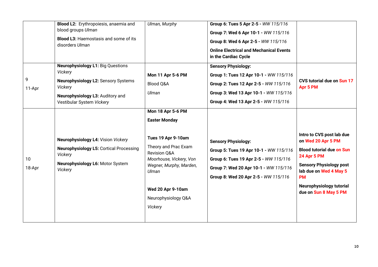|              | Blood L2: Erythropoiesis, anaemia and<br>blood groups Ulman<br><b>Blood L3: Haemostasis and some of its</b><br>disorders Ulman<br><b>Neurophysiology L1: Big Questions</b> | Ulman, Murphy                                                                                                                                                                                                                                          | Group 6: Tues 5 Apr 2-5 - WW 115/116<br>Group 7: Wed 6 Apr 10-1 - WW 115/116<br>Group 8: Wed 6 Apr 2-5 - WW 115/116<br><b>Online Electrical and Mechanical Events</b><br>in the Cardiac Cycle<br><b>Sensory Physiology:</b> |                                                                                                                                                                                                                                         |
|--------------|----------------------------------------------------------------------------------------------------------------------------------------------------------------------------|--------------------------------------------------------------------------------------------------------------------------------------------------------------------------------------------------------------------------------------------------------|-----------------------------------------------------------------------------------------------------------------------------------------------------------------------------------------------------------------------------|-----------------------------------------------------------------------------------------------------------------------------------------------------------------------------------------------------------------------------------------|
| 9<br>11-Apr  | Vickery<br><b>Neurophysiology L2: Sensory Systems</b><br>Vickery<br>Neurophysiology L3: Auditory and<br>Vestibular System Vickery                                          | <b>Mon 11 Apr 5-6 PM</b><br>Blood Q&A<br>Ulman                                                                                                                                                                                                         | Group 1: Tues 12 Apr 10-1 - WW 115/116<br>Group 2: Tues 12 Apr 2-5 - WW 115/116<br>Group 3: Wed 13 Apr 10-1 - WW 115/116<br>Group 4: Wed 13 Apr 2-5 - WW 115/116                                                            | CVS tutorial due on Sun 17<br>Apr 5 PM                                                                                                                                                                                                  |
| 10<br>18-Apr | Neurophysiology L4: Vision Vickery<br><b>Neurophysiology L5: Cortical Processing</b><br>Vickery<br>Neurophysiology L6: Motor System<br>Vickery                             | <b>Mon 18 Apr 5-6 PM</b><br><b>Easter Monday</b><br>Tues 19 Apr 9-10am<br>Theory and Prac Exam<br><b>Revision Q&amp;A</b><br>Moorhouse, Vickery, Von<br>Wegner, Murphy, Marden,<br>Ulman<br><b>Wed 20 Apr 9-10am</b><br>Neurophysiology Q&A<br>Vickery | <b>Sensory Physiology:</b><br>Group 5: Tues 19 Apr 10-1 - WW 115/116<br>Group 6: Tues 19 Apr 2-5 - WW 115/116<br>Group 7: Wed 20 Apr 10-1 - WW 115/116<br>Group 8: Wed 20 Apr 2-5 - WW 115/116                              | Intro to CVS post lab due<br>on Wed 20 Apr 5 PM<br><b>Blood tutorial due on Sun</b><br><b>24 Apr 5 PM</b><br><b>Sensory Physiology post</b><br>lab due on Wed 4 May 5<br><b>PM</b><br>Neurophysiology tutorial<br>due on Sun 8 May 5 PM |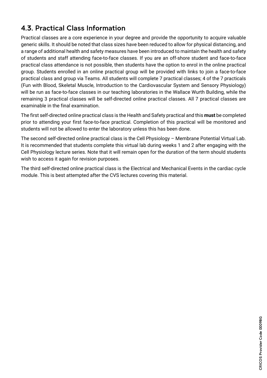## <span id="page-10-0"></span>4.3. Practical Class Information

Practical classes are a core experience in your degree and provide the opportunity to acquire valuable generic skills. It should be noted that class sizes have been reduced to allow for physical distancing, and a range of additional health and safety measures have been introduced to maintain the health and safety of students and staff attending face-to-face classes. If you are an off-shore student and face-to-face practical class attendance is not possible, then students have the option to enrol in the online practical group. Students enrolled in an online practical group will be provided with links to join a face-to-face practical class and group via Teams. All students will complete 7 practical classes; 4 of the 7 practicals (Fun with Blood, Skeletal Muscle, Introduction to the Cardiovascular System and Sensory Physiology) will be run as face-to-face classes in our teaching laboratories in the Wallace Wurth Building, while the remaining 3 practical classes will be self-directed online practical classes. All 7 practical classes are examinable in the final examination.

The first self-directed online practical class is the Health and Safety practical and this **must** be completed prior to attending your first face-to-face practical. Completion of this practical will be monitored and students will not be allowed to enter the laboratory unless this has been done.

The second self-directed online practical class is the Cell Physiology – Membrane Potential Virtual Lab. It is recommended that students complete this virtual lab during weeks 1 and 2 after engaging with the Cell Physiology lecture series. Note that it will remain open for the duration of the term should students wish to access it again for revision purposes.

The third self-directed online practical class is the Electrical and Mechanical Events in the cardiac cycle module. This is best attempted after the CVS lectures covering this material.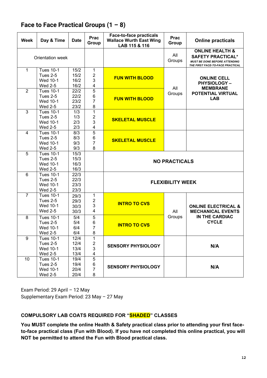| <b>Week</b>    | Day & Time                                                               | <b>Date</b>                  | <b>Prac</b><br>Group                             | <b>Face-to-face practicals</b><br><b>Wallace Wurth East Wing</b><br>LAB 115 & 116 | Prac<br>Group | <b>Online practicals</b>                                                                                                           |
|----------------|--------------------------------------------------------------------------|------------------------------|--------------------------------------------------|-----------------------------------------------------------------------------------|---------------|------------------------------------------------------------------------------------------------------------------------------------|
|                | Orientation week                                                         |                              |                                                  |                                                                                   | All<br>Groups | <b>ONLINE HEALTH &amp;</b><br><b>SAFETY PRACTICAL*</b><br><b>MUST BE DONE BEFORE ATTENDING</b><br>THE FIRST FACE-TO-FACE PRACTICAL |
| $\mathbf{1}$   | <b>Tues 10-1</b><br><b>Tues 2-5</b><br><b>Wed 10-1</b><br><b>Wed 2-5</b> | 15/2<br>15/2<br>16/2<br>16/2 | 1<br>$\overline{2}$<br>3<br>4                    | <b>FUN WITH BLOOD</b>                                                             |               | <b>ONLINE CELL</b><br><b>PHYSIOLOGY-</b><br><b>MEMBRANE</b>                                                                        |
| $\overline{2}$ | <b>Tues 10-1</b><br><b>Tues 2-5</b><br><b>Wed 10-1</b><br><b>Wed 2-5</b> | 22/2<br>22/2<br>23/2<br>23/2 | 5<br>$\,6$<br>7<br>8                             | <b>FUN WITH BLOOD</b>                                                             | All<br>Groups | POTENTIAL VIRTUAL<br><b>LAB</b>                                                                                                    |
| $\overline{3}$ | <b>Tues 10-1</b><br>Tues 2-5<br><b>Wed 10-1</b><br><b>Wed 2-5</b>        | 1/3<br>1/3<br>2/3<br>2/3     | $\mathbf 1$<br>$\overline{\mathbf{c}}$<br>3<br>4 | <b>SKELETAL MUSCLE</b>                                                            |               |                                                                                                                                    |
| $\overline{4}$ | <b>Tues 10-1</b><br><b>Tues 2-5</b><br>Wed 10-1<br><b>Wed 2-5</b>        | 8/3<br>8/3<br>9/3<br>9/3     | 5<br>$\,6$<br>$\overline{7}$<br>8                | <b>SKELETAL MUSCLE</b>                                                            |               |                                                                                                                                    |
| 5              | <b>Tues 10-1</b><br><b>Tues 2-5</b><br><b>Wed 10-1</b><br><b>Wed 2-5</b> | 15/3<br>15/3<br>16/3<br>16/3 |                                                  | <b>NO PRACTICALS</b>                                                              |               |                                                                                                                                    |
| $6\phantom{1}$ | <b>Tues 10-1</b><br><b>Tues 2-5</b><br>Wed 10-1<br><b>Wed 2-5</b>        | 22/3<br>22/3<br>23/3<br>23/3 |                                                  | <b>FLEXIBILITY WEEK</b>                                                           |               |                                                                                                                                    |
| $\overline{7}$ | <b>Tues 10-1</b><br>Tues 2-5<br><b>Wed 10-1</b><br><b>Wed 2-5</b>        | 29/3<br>29/3<br>30/3<br>30/3 | 1<br>2<br>3<br>4                                 | <b>INTRO TO CVS</b>                                                               | All           | <b>ONLINE ELECTRICAL &amp;</b><br><b>MECHANICAL EVENTS</b>                                                                         |
| 8              | <b>Tues 10-1</b><br><b>Tues 2-5</b><br><b>Wed 10-1</b><br><b>Wed 2-5</b> | 5/4<br>5/4<br>6/4<br>6/4     | $\mathbf 5$<br>6<br>$\overline{7}$<br>8          | <b>INTRO TO CVS</b>                                                               | Groups        | IN THE CARDIAC<br><b>CYCLE</b>                                                                                                     |
| 9              | <b>Tues 10-1</b><br><b>Tues 2-5</b><br>Wed 10-1<br>Wed 2-5               | 12/4<br>12/4<br>13/4<br>13/4 | 1<br>$\overline{\mathbf{c}}$<br>3<br>4           | <b>SENSORY PHYSIOLOGY</b>                                                         |               | N/A                                                                                                                                |
| 10             | <b>Tues 10-1</b><br><b>Tues 2-5</b><br>Wed 10-1<br>Wed 2-5               | 19/4<br>19/4<br>20/4<br>20/4 | 5<br>6<br>$\overline{7}$<br>8                    | <b>SENSORY PHYSIOLOGY</b>                                                         |               | N/A                                                                                                                                |

## **Face to Face Practical Groups (1 – 8)**

Exam Period: 29 April – 12 May Supplementary Exam Period: 23 May – 27 May

#### **COMPULSORY LAB COATS REQUIRED FOR "SHADED" CLASSES**

**You MUST complete the online Health & Safety practical class prior to attending your first faceto-face practical class (Fun with Blood). If you have not completed this online practical, you will NOT be permitted to attend the Fun with Blood practical class.**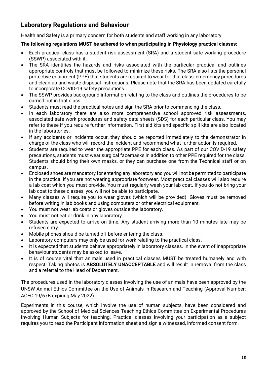## **Laboratory Regulations and Behaviour**

Health and Safety is a primary concern for both students and staff working in any laboratory.

#### **The following regulations MUST be adhered to when participating in Physiology practical classes:**

- Each practical class has a student risk assessment (SRA) and a student safe working procedure (SSWP) associated with it.
- The SRA identifies the hazards and risks associated with the particular practical and outlines appropriate controls that must be followed to minimize these risks. The SRA also lists the personal protective equipment (PPE) that students are required to wear for that class, emergency procedures and clean up and waste disposal instructions. Please note that the SRA has been updated carefully to incorporate COVID-19 safety precautions.
- The SSWP provides background information relating to the class and outlines the procedures to be carried out in that class.
- Students must read the practical notes and sign the SRA prior to commencing the class.
- In each laboratory there are also more comprehensive school approved risk assessments, associated safe work procedures and safety data sheets (SDS) for each particular class. You may refer to these if you require further information. First aid kits and specific spill kits are also located in the laboratories.
- If any accidents or incidents occur, they should be reported immediately to the demonstrator in charge of the class who will record the incident and recommend what further action is required.
- Students are required to wear the appropriate PPE for each class. As part of our COVID-19 safety precautions, students must wear surgical facemasks in addition to other PPE required for the class. Students should bring their own masks, or they can purchase one from the Technical staff or on campus.
- Enclosed shoes are mandatory for entering any laboratory and you will not be permitted to participate in the practical if you are not wearing appropriate footwear. Most practical classes will also require a lab coat which you must provide. You must regularly wash your lab coat. If you do not bring your lab coat to these classes, you will not be able to participate.
- Many classes will require you to wear gloves (which will be provided). Gloves must be removed before writing in lab books and using computers or other electrical equipment.
- You must not wear lab coats or gloves outside the laboratory.
- You must not eat or drink in any laboratory.
- Students are expected to arrive on time. Any student arriving more than 10 minutes late may be refused entry.
- Mobile phones should be turned off before entering the class.
- Laboratory computers may only be used for work relating to the practical class.
- It is expected that students behave appropriately in laboratory classes. In the event of inappropriate behaviour students may be asked to leave.
- It is of course vital that animals used in practical classes MUST be treated humanely and with respect. Taking photos is **ABSOLUTELY UNACCEPTABLE** and will result in removal from the class and a referral to the Head of Department.

The procedures used in the laboratory classes involving the use of animals have been approved by the UNSW Animal Ethics Committee on the Use of Animals in Research and Teaching (Approval Number: ACEC 19/67B expiring May 2022).

Experiments in this course, which involve the use of human subjects, have been considered and approved by the School of Medical Sciences Teaching Ethics Committee on Experimental Procedures Involving Human Subjects for teaching. Practical classes involving your participation as a subject requires you to read the Participant information sheet and sign a witnessed, informed consent form.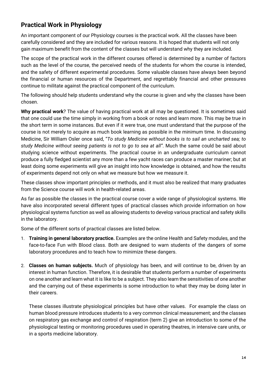## **Practical Work in Physiology**

An important component of our Physiology courses is the practical work. All the classes have been carefully considered and they are included for various reasons. It is hoped that students will not only gain maximum benefit from the content of the classes but will understand why they are included.

The scope of the practical work in the different courses offered is determined by a number of factors such as the level of the course, the perceived needs of the students for whom the course is intended, and the safety of different experimental procedures. Some valuable classes have always been beyond the financial or human resources of the Department, and regrettably financial and other pressures continue to militate against the practical component of the curriculum.

The following should help students understand why the course is given and why the classes have been chosen.

**Why practical work**? The value of having practical work at all may be questioned. It is sometimes said that one could use the time simply in working from a book or notes and learn more. This may be true in the short term in some instances. But even if it were true, one must understand that the purpose of the course is not merely to acquire as much book learning as possible in the minimum time. In discussing Medicine, Sir William Osler once said, "*To study Medicine without books is to sail an uncharted sea; to study Medicine without seeing patients is not to go to sea at all"*. Much the same could be said about studying science without experiments. The practical course in an undergraduate curriculum cannot produce a fully fledged scientist any more than a few yacht races can produce a master mariner; but at least doing some experiments will give an insight into how knowledge is obtained, and how the results of experiments depend not only on what we measure but how we measure it.

These classes show important principles or methods, and it must also be realized that many graduates from the Science course will work in health-related areas.

As far as possible the classes in the practical course cover a wide range of physiological systems. We have also incorporated several different types of practical classes which provide information on how physiological systems function as well as allowing students to develop various practical and safety skills in the laboratory.

Some of the different sorts of practical classes are listed below.

- 1. **Training in general laboratory practice.** Examples are the online Health and Safety modules, and the face-to-face Fun with Blood class. Both are designed to warn students of the dangers of some laboratory procedures and to teach how to minimize these dangers.
- 2. **Classes on human subjects.** Much of physiology has been, and will continue to be, driven by an interest in human function. Therefore, it is desirable that students perform a number of experiments on one another and learn what it is like to be a subject. They also learn the sensitivities of one another and the carrying out of these experiments is some introduction to what they may be doing later in their careers.

These classes illustrate physiological principles but have other values. For example the class on human blood pressure introduces students to a very common clinical measurement; and the classes on respiratory gas exchange and control of respiration (term 2) give an introduction to some of the physiological testing or monitoring procedures used in operating theatres, in intensive care units, or in a sports medicine laboratory.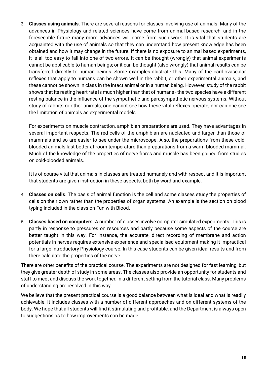3. **Classes using animals.** There are several reasons for classes involving use of animals. Many of the advances in Physiology and related sciences have come from animal-based research, and in the foreseeable future many more advances will come from such work. It is vital that students are acquainted with the use of animals so that they can understand how present knowledge has been obtained and how it may change in the future. If there is no exposure to animal based experiments, it is all too easy to fall into one of two errors. It can be thought (wrongly) that animal experiments cannot be applicable to human beings; or it can be thought (also wrongly) that animal results can be transferred directly to human beings. Some examples illustrate this. Many of the cardiovascular reflexes that apply to humans can be shown well in the rabbit, or other experimental animals, and these cannot be shown in class in the intact animal or in a human being. However, study of the rabbit shows that its resting heart rate is much higher than that of humans - the two species have a different resting balance in the influence of the sympathetic and parasympathetic nervous systems. Without study of rabbits or other animals, one cannot see how these vital reflexes operate; nor can one see the limitation of animals as experimental models.

For experiments on muscle contraction, amphibian preparations are used. They have advantages in several important respects. The red cells of the amphibian are nucleated and larger than those of mammals and so are easier to see under the microscope. Also, the preparations from these coldblooded animals last better at room temperature than preparations from a warm-blooded mammal. Much of the knowledge of the properties of nerve fibres and muscle has been gained from studies on cold-blooded animals.

It is of course vital that animals in classes are treated humanely and with respect and it is important that students are given instruction in these aspects, both by word and example.

- 4. **Classes on cells**. The basis of animal function is the cell and some classes study the properties of cells on their own rather than the properties of organ systems. An example is the section on blood typing included in the class on Fun with Blood.
- 5. **Classes based on computers**. A number of classes involve computer simulated experiments. This is partly in response to pressures on resources and partly because some aspects of the course are better taught in this way. For instance, the accurate, direct recording of membrane and action potentials in nerves requires extensive experience and specialised equipment making it impractical for a large introductory Physiology course. In this case students can be given ideal results and from there calculate the properties of the nerve.

There are other benefits of the practical course. The experiments are not designed for fast learning, but they give greater depth of study in some areas. The classes also provide an opportunity for students and staff to meet and discuss the work together, in a different setting from the tutorial class. Many problems of understanding are resolved in this way.

We believe that the present practical course is a good balance between what is ideal and what is readily achievable. It includes classes with a number of different approaches and on different systems of the body. We hope that all students will find it stimulating and profitable, and the Department is always open to suggestions as to how improvements can be made.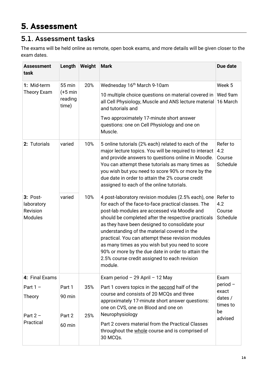## <span id="page-15-1"></span><span id="page-15-0"></span>5.1. Assessment tasks

The exams will be held online as remote, open book exams, and more details will be given closer to the exam dates.

| <b>Assessment</b><br>task                              | Length           | Weight | <b>Mark</b>                                                                                                                                                                                                                                                                                                                                                                                                                                                                                                                                  | Due date                              |
|--------------------------------------------------------|------------------|--------|----------------------------------------------------------------------------------------------------------------------------------------------------------------------------------------------------------------------------------------------------------------------------------------------------------------------------------------------------------------------------------------------------------------------------------------------------------------------------------------------------------------------------------------------|---------------------------------------|
| 1: Mid-term                                            | 55 min           | 20%    | Wednesday 16th March 9-10am                                                                                                                                                                                                                                                                                                                                                                                                                                                                                                                  | Week 5                                |
| $(+5$ min<br><b>Theory Exam</b><br>reading<br>time)    |                  |        | 10 multiple choice questions on material covered in<br>all Cell Physiology, Muscle and ANS lecture material<br>and tutorials and                                                                                                                                                                                                                                                                                                                                                                                                             | Wed 9am<br>16 March                   |
|                                                        |                  |        | Two approximately 17-minute short answer<br>questions: one on Cell Physiology and one on<br>Muscle.                                                                                                                                                                                                                                                                                                                                                                                                                                          |                                       |
| 2: Tutorials                                           | varied           | 10%    | 5 online tutorials (2% each) related to each of the<br>major lecture topics. You will be required to interact<br>and provide answers to questions online in Moodle.<br>You can attempt these tutorials as many times as<br>you wish but you need to score 90% or more by the<br>due date in order to attain the 2% course credit<br>assigned to each of the online tutorials.                                                                                                                                                                | Refer to<br>4.2<br>Course<br>Schedule |
| $3: Post-$<br>laboratory<br>Revision<br><b>Modules</b> | varied           | 10%    | 4 post-laboratory revision modules (2.5% each), one<br>for each of the face-to-face practical classes. The<br>post-lab modules are accessed via Moodle and<br>should be completed after the respective practicals<br>as they have been designed to consolidate your<br>understanding of the material covered in the<br>practical. You can attempt these revision modules<br>as many times as you wish but you need to score<br>90% or more by the due date in order to attain the<br>2.5% course credit assigned to each revision<br>module. | Refer to<br>4.2<br>Course<br>Schedule |
| 4: Final Exams                                         |                  |        | Exam period $-29$ April $-12$ May                                                                                                                                                                                                                                                                                                                                                                                                                                                                                                            | Exam                                  |
| Part $1 -$                                             | Part 1           | 35%    | Part 1 covers topics in the second half of the                                                                                                                                                                                                                                                                                                                                                                                                                                                                                               | $period -$<br>exact                   |
| Theory                                                 | 90 min<br>Part 2 | 25%    | course and consists of 20 MCQs and three<br>approximately 17-minute short answer questions:<br>one on CVS, one on Blood and one on<br>Neurophysiology                                                                                                                                                                                                                                                                                                                                                                                        | dates $/$<br>times to<br>be           |
| Part $2 -$<br>Practical                                | $60$ min         |        | Part 2 covers material from the Practical Classes<br>throughout the whole course and is comprised of<br>30 MCQs.                                                                                                                                                                                                                                                                                                                                                                                                                             | advised                               |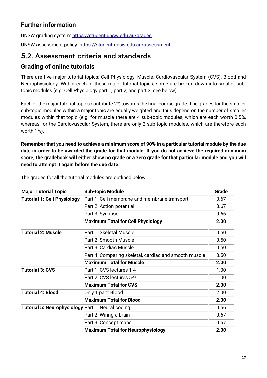## **Further information**

UNSW grading system:<https://student.unsw.edu.au/grades>

UNSW assessment policy:<https://student.unsw.edu.au/assessment>

#### <span id="page-16-0"></span>5.2. Assessment criteria and standards

#### **Grading of online tutorials**

There are five major tutorial topics: Cell Physiology, Muscle, Cardiovascular System (CVS), Blood and Neurophysiology. Within each of these major tutorial topics, some are broken down into smaller subtopic modules (e.g. Cell Physiology part 1, part 2, and part 3; see below).

Each of the major tutorial topics contribute 2% towards the final course grade. The grades for the smaller sub-topic modules within a major topic are equally weighted and thus depend on the number of smaller modules within that topic (e.g. for muscle there are 4 sub-topic modules, which are each worth 0.5%, whereas for the Cardiovascular System, there are only 2 sub-topic modules, which are therefore each worth 1%).

**Remember that you need to achieve a minimum score of 90% in a particular tutorial module by the due date in order to be awarded the grade for that module. If you do not achieve the required minimum score, the gradebook will either show no grade or a zero grade for that particular module and you will need to attempt it again before the due date.**

| <b>Major Tutorial Topic</b>                              | <b>Sub-topic Module</b>                               | Grade |
|----------------------------------------------------------|-------------------------------------------------------|-------|
| <b>Tutorial 1: Cell Physiology</b>                       | Part 1: Cell membrane and membrane transport          | 0.67  |
|                                                          | Part 2: Action potential                              | 0.67  |
|                                                          | Part 3: Synapse                                       | 0.66  |
|                                                          | <b>Maximum Total for Cell Physiology</b>              | 2.00  |
| <b>Tutorial 2: Muscle</b>                                | Part 1: Skeletal Muscle                               | 0.50  |
|                                                          | Part 2: Smooth Muscle                                 | 0.50  |
|                                                          | Part 3: Cardiac Muscle                                | 0.50  |
|                                                          | Part 4: Comparing skeletal, cardiac and smooth muscle | 0.50  |
|                                                          | <b>Maximum Total for Muscle</b>                       | 2.00  |
| <b>Tutorial 3: CVS</b>                                   | Part 1: CVS lectures 1-4                              | 1.00  |
|                                                          | Part 2: CVS lectures 5-9                              | 1.00  |
|                                                          | <b>Maximum Total for CVS</b>                          | 2.00  |
| <b>Tutorial 4: Blood</b>                                 | Only 1 part: Blood                                    | 2.00  |
|                                                          | <b>Maximum Total for Blood</b>                        | 2.00  |
| <b>Tutorial 5: Neurophysiology</b> Part 1: Neural coding |                                                       | 0.66  |
|                                                          | Part 2: Wiring a brain                                | 0.67  |
|                                                          | Part 3: Concept maps                                  | 0.67  |
|                                                          | <b>Maximum Total for Neurophysiology</b>              | 2.00  |

The grades for all the tutorial modules are outlined below: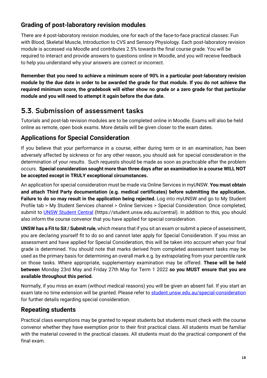## **Grading of post-laboratory revision modules**

There are 4 post-laboratory revision modules, one for each of the face-to-face practical classes: Fun with Blood, Skeletal Muscle, Introduction to CVS and Sensory Physiology. Each post-laboratory revision module is accessed via Moodle and contributes 2.5% towards the final course grade. You will be required to interact and provide answers to questions online in Moodle, and you will receive feedback to help you understand why your answers are correct or incorrect.

**Remember that you need to achieve a minimum score of 90% in a particular post-laboratory revision module by the due date in order to be awarded the grade for that module. If you do not achieve the required minimum score, the gradebook will either show no grade or a zero grade for that particular module and you will need to attempt it again before the due date.**

## <span id="page-17-0"></span>5.3. Submission of assessment tasks

Tutorials and post-lab revision modules are to be completed online in Moodle. Exams will also be held online as remote, open book exams. More details will be given closer to the exam dates.

#### **Applications for Special Consideration**

If you believe that your performance in a course, either during term or in an examination, has been adversely affected by sickness or for any other reason, you should ask for special consideration in the determination of your results. Such requests should be made as soon as practicable after the problem occurs. **Special consideration sought more than three days after an examination in a course WILL NOT be accepted except in TRULY exceptional circumstances.**

An application for special consideration must be made via Online Services in myUNSW. **You must obtain and attach Third Party documentation (e.g. medical certificates) before submitting the application. Failure to do so may result in the application being rejected.** Log into myUNSW and go to My Student Profile tab > My Student Services channel > Online Services > Special Consideration. Once completed, submit to [UNSW Student Central](https://student.unsw.edu.au/central) (https://student.unsw.edu.au/central). In addition to this, you should also inform the course convenor that you have applied for special consideration.

**UNSW has a Fit to Sit / Submit rule**, which means that if you sit an exam or submit a piece of assessment, you are declaring yourself fit to do so and cannot later apply for Special Consideration. If you miss an assessment and have applied for Special Consideration, this will be taken into account when your final grade is determined. You should note that marks derived from completed assessment tasks may be used as the primary basis for determining an overall mark e.g. by extrapolating from your percentile rank on those tasks. Where appropriate, supplementary examination may be offered. **These will be held between** Monday 23rd May and Friday 27th May for Term 1 2022 **so you MUST ensure that you are available throughout this period.**

Normally, if you miss an exam (without medical reasons) you will be given an absent fail. If you start an exam late no time extension will be granted. Please refer to [student.unsw.edu.au/special-consideration](https://student.unsw.edu.au/special-consideration) for further details regarding special consideration.

#### **Repeating students**

Practical class exemptions may be granted to repeat students but students must check with the course convenor whether they have exemption prior to their first practical class. All students must be familiar with the material covered in the practical classes. All students must do the practical component of the final exam.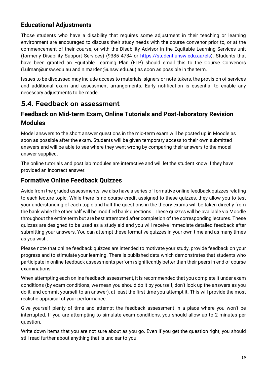### **Educational Adjustments**

Those students who have a disability that requires some adjustment in their teaching or learning environment are encouraged to discuss their study needs with the course convenor prior to, or at the commencement of their course, or with the Disability Advisor in the Equitable Learning Services unit (formerly Disability Support Services) (9385 4734 or [https://student.unsw.edu.au/els\)](https://student.unsw.edu.au/els). Students that have been granted an Equitable Learning Plan (ELP) should email this to the Course Convenors [\(l.ulman@unsw.edu.au](mailto:l.ulman@unsw.edu.au) and [n.marden@unsw.edu.au\)](mailto:n.marden@unsw.edu.au) as soon as possible in the term.

Issues to be discussed may include access to materials, signers or note-takers, the provision of services and additional exam and assessment arrangements. Early notification is essential to enable any necessary adjustments to be made.

## <span id="page-18-0"></span>5.4. Feedback on assessment

#### **Feedback on Mid-term Exam, Online Tutorials and Post-laboratory Revision Modules**

Model answers to the short answer questions in the mid-term exam will be posted up in Moodle as soon as possible after the exam. Students will be given temporary access to their own submitted answers and will be able to see where they went wrong by comparing their answers to the model answer supplied.

The online tutorials and post lab modules are interactive and will let the student know if they have provided an incorrect answer.

#### **Formative Online Feedback Quizzes**

Aside from the graded assessments, we also have a series of formative online feedback quizzes relating to each lecture topic. While there is no course credit assigned to these quizzes, they allow you to test your understanding of each topic and half the questions in the theory exams will be taken directly from the bank while the other half will be modified bank questions. These quizzes will be available via Moodle throughout the entire term but are best attempted after completion of the corresponding lectures. These quizzes are designed to be used as a study aid and you will receive immediate detailed feedback after submitting your answers. You can attempt these formative quizzes in your own time and as many times as you wish.

Please note that online feedback quizzes are intended to motivate your study, provide feedback on your progress and to stimulate your learning. There is published data which demonstrates that students who participate in online feedback assessments perform significantly better than their peers in end of course examinations.

When attempting each online feedback assessment, it is recommended that you complete it under exam conditions (by exam conditions, we mean you should do it by yourself, don't look up the answers as you do it, and commit yourself to an answer), at least the first time you attempt it. This will provide the most realistic appraisal of your performance.

Give yourself plenty of time and attempt the feedback assessment in a place where you won't be interrupted. If you are attempting to simulate exam conditions, you should allow up to 2 minutes per question.

Write down items that you are not sure about as you go. Even if you get the question right, you should still read further about anything that is unclear to you.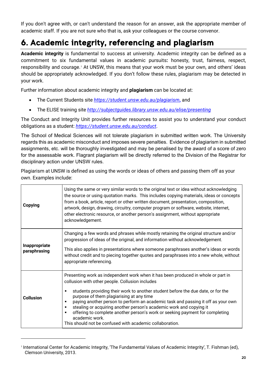If you don't agree with, or can't understand the reason for an answer, ask the appropriate member of academic staff. If you are not sure who that is, ask your colleagues or the course convenor.

# <span id="page-19-0"></span>6. Academic integrity, referencing and plagiarism

**Academic integrity** is fundamental to success at university. Academic integrity can be defined as a commitment to six fundamental values in academic pursuits**:** honesty, trust, fairness, respect, responsibility and courage.*[1](#page-19-1)* At UNSW, this means that your work must be your own, and others' ideas should be appropriately acknowledged. If you don't follow these rules, plagiarism may be detected in your work.

Further information about academic integrity and **plagiarism** can be located at:

- The Current Students site *<https://student.unsw.edu.au/plagiarism>***,** and
- The ELISE training site *<http://subjectguides.library.unsw.edu.au/elise/presenting>*

The Conduct and Integrity Unit provides further resources to assist you to understand your conduct obligations as a student: *<https://student.unsw.edu.au/conduct>*.

The School of Medical Sciences will not tolerate plagiarism in submitted written work. The University regards this as academic misconduct and imposes severe penalties. Evidence of plagiarism in submitted assignments, etc. will be thoroughly investigated and may be penalised by the award of a score of zero for the assessable work. Flagrant plagiarism will be directly referred to the Division of the Registrar for disciplinary action under UNSW rules.

Plagiarism at UNSW is defined as using the words or ideas of others and passing them off as your own. Examples include:

| Copying                       | Using the same or very similar words to the original text or idea without acknowledging<br>the source or using quotation marks. This includes copying materials, ideas or concepts<br>from a book, article, report or other written document, presentation, composition,<br>artwork, design, drawing, circuitry, computer program or software, website, internet,<br>other electronic resource, or another person's assignment, without appropriate<br>acknowledgement.                                                                                                                            |
|-------------------------------|----------------------------------------------------------------------------------------------------------------------------------------------------------------------------------------------------------------------------------------------------------------------------------------------------------------------------------------------------------------------------------------------------------------------------------------------------------------------------------------------------------------------------------------------------------------------------------------------------|
| Inappropriate<br>paraphrasing | Changing a few words and phrases while mostly retaining the original structure and/or<br>progression of ideas of the original, and information without acknowledgement.<br>This also applies in presentations where someone paraphrases another's ideas or words<br>without credit and to piecing together quotes and paraphrases into a new whole, without<br>appropriate referencing.                                                                                                                                                                                                            |
| <b>Collusion</b>              | Presenting work as independent work when it has been produced in whole or part in<br>collusion with other people. Collusion includes<br>students providing their work to another student before the due date, or for the<br>purpose of them plagiarising at any time<br>paying another person to perform an academic task and passing it off as your own<br>٠<br>stealing or acquiring another person's academic work and copying it<br>offering to complete another person's work or seeking payment for completing<br>academic work.<br>This should not be confused with academic collaboration. |

<span id="page-19-1"></span><sup>1</sup> International Center for Academic Integrity, 'The Fundamental Values of Academic Integrity', T. Fishman (ed), Clemson University, 2013.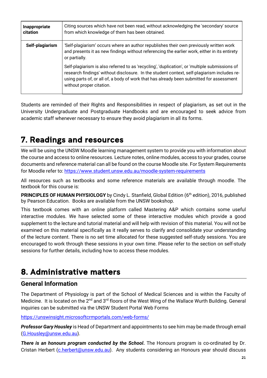| Inappropriate<br>citation | Citing sources which have not been read, without acknowledging the 'secondary' source<br>from which knowledge of them has been obtained.                                                                                                                                                                              |
|---------------------------|-----------------------------------------------------------------------------------------------------------------------------------------------------------------------------------------------------------------------------------------------------------------------------------------------------------------------|
| Self-plagiarism           | 'Self-plagiarism' occurs where an author republishes their own previously written work<br>and presents it as new findings without referencing the earlier work, either in its entirety<br>or partially.                                                                                                               |
|                           | Self-plagiarism is also referred to as 'recycling', 'duplication', or 'multiple submissions of<br>research findings' without disclosure. In the student context, self-plagiarism includes re-<br>using parts of, or all of, a body of work that has already been submitted for assessment<br>without proper citation. |

Students are reminded of their Rights and Responsibilities in respect of plagiarism, as set out in the University Undergraduate and Postgraduate Handbooks and are encouraged to seek advice from academic staff whenever necessary to ensure they avoid plagiarism in all its forms.

# <span id="page-20-0"></span>7. Readings and resources

We will be using the UNSW Moodle learning management system to provide you with information about the course and access to online resources. Lecture notes, online modules, access to your grades, course documents and reference material can all be found on the course Moodle site. For System Requirements for Moodle refer to:<https://www.student.unsw.edu.au/moodle-system-requirements>

All resources such as textbooks and some reference materials are available through moodle. The textbook for this course is:

**PRINCIPLES OF HUMAN PHYSIOLOGY** by Cindy L. Stanfield, Global Edition (6<sup>th</sup> edition), 2016, published by Pearson Education. Books are available from the UNSW bookshop.

This textbook comes with an online platform called Mastering A&P which contains some useful interactive modules. We have selected some of these interactive modules which provide a good supplement to the lecture and tutorial material and will help with revision of this material. You will not be examined on this material specifically as it really serves to clarify and consolidate your understanding of the lecture content. There is no set time allocated for these suggested self-study sessions. You are encouraged to work through these sessions in your own time. Please refer to the section on self-study sessions for further details, including how to access these modules.

# <span id="page-20-1"></span>8. Administrative matters

#### **General Information**

The Department of Physiology is part of the School of Medical Sciences and is within the Faculty of Medicine. It is located on the 2<sup>nd</sup> and 3<sup>rd</sup> floors of the West Wing of the Wallace Wurth Building. General inquiries can be submitted via the UNSW Student Portal Web Forms

<https://unswinsight.microsoftcrmportals.com/web-forms/>

*Professor Gary Housley* is Head of Department and appointments to see him may be made through email [\(G.Housley@unsw.edu.au\)](mailto:G.Housley@unsw.edu.au).

*There is an honours program conducted by the School***.** The Honours program is co-ordinated by Dr. Cristan Herbert [\(c.herbert@unsw.edu.au\)](mailto:c.herbert@unsw.edu.au). Any students considering an Honours year should discuss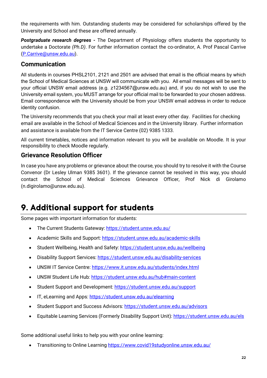the requirements with him. Outstanding students may be considered for scholarships offered by the University and School and these are offered annually.

*Postgraduate research degrees -* The Department of Physiology offers students the opportunity to undertake a Doctorate *(Ph.D)*. For further information contact the co-ordinator, A. Prof Pascal Carrive [\(P.Carrive@unsw.edu.au\)](mailto:P.Carrive@unsw.edu.au).

#### **Communication**

All students in courses PHSL2101, 2121 and 2501 are advised that email is the official means by which the School of Medical Sciences at UNSW will communicate with you. All email messages will be sent to your official UNSW email address (e.g. z1234567@unsw.edu.au) and, if you do not wish to use the University email system, you MUST arrange for your official mail to be forwarded to your chosen address. Email correspondence with the University should be from your UNSW email address in order to reduce identity confusion.

The University recommends that you check your mail at least every other day. Facilities for checking email are available in the School of Medical Sciences and in the University library. Further information and assistance is available from the [IT Service Centre](https://www.it.unsw.edu.au/students/index.html) (02) 9385 1333.

All current timetables, notices and information relevant to you will be available on Moodle. It is your responsibility to check Moodle regularly.

#### **Grievance Resolution Officer**

In case you have any problems or grievance about the course, you should try to resolve it with the Course Convenor (Dr Lesley Ulman 9385 3601). If the grievance cannot be resolved in this way, you should contact the School of Medical Sciences Grievance Officer, Prof Nick di Girolamo [\(n.digirolamo@unsw.edu.au\)](mailto:n.digirolamo@unsw.edu.au).

# <span id="page-21-0"></span>9. Additional support for students

Some pages with important information for students:

- The Current Students Gateway:<https://student.unsw.edu.au/>
- Academic Skills and Support:<https://student.unsw.edu.au/academic-skills>
- Student Wellbeing, Health and Safety: https://student.unsw.edu.au/wellbeing
- Disability Support Services:<https://student.unsw.edu.au/disability-services>
- UNSW IT Service Centre:<https://www.it.unsw.edu.au/students/index.html>
- UNSW Student Life Hub*:* <https://student.unsw.edu.au/hub#main-content>
- Student Support and Development*:* <https://student.unsw.edu.au/support>
- IT, eLearning and Apps*:* <https://student.unsw.edu.au/elearning>
- Student Support and Success Advisors*:* <https://student.unsw.edu.au/advisors>
- Equitable Learning Services (Formerly Disability Support Unit)*:* <https://student.unsw.edu.au/els>

Some additional useful links to help you with your online learning:

• Transitioning to Online Learning<https://www.covid19studyonline.unsw.edu.au/>